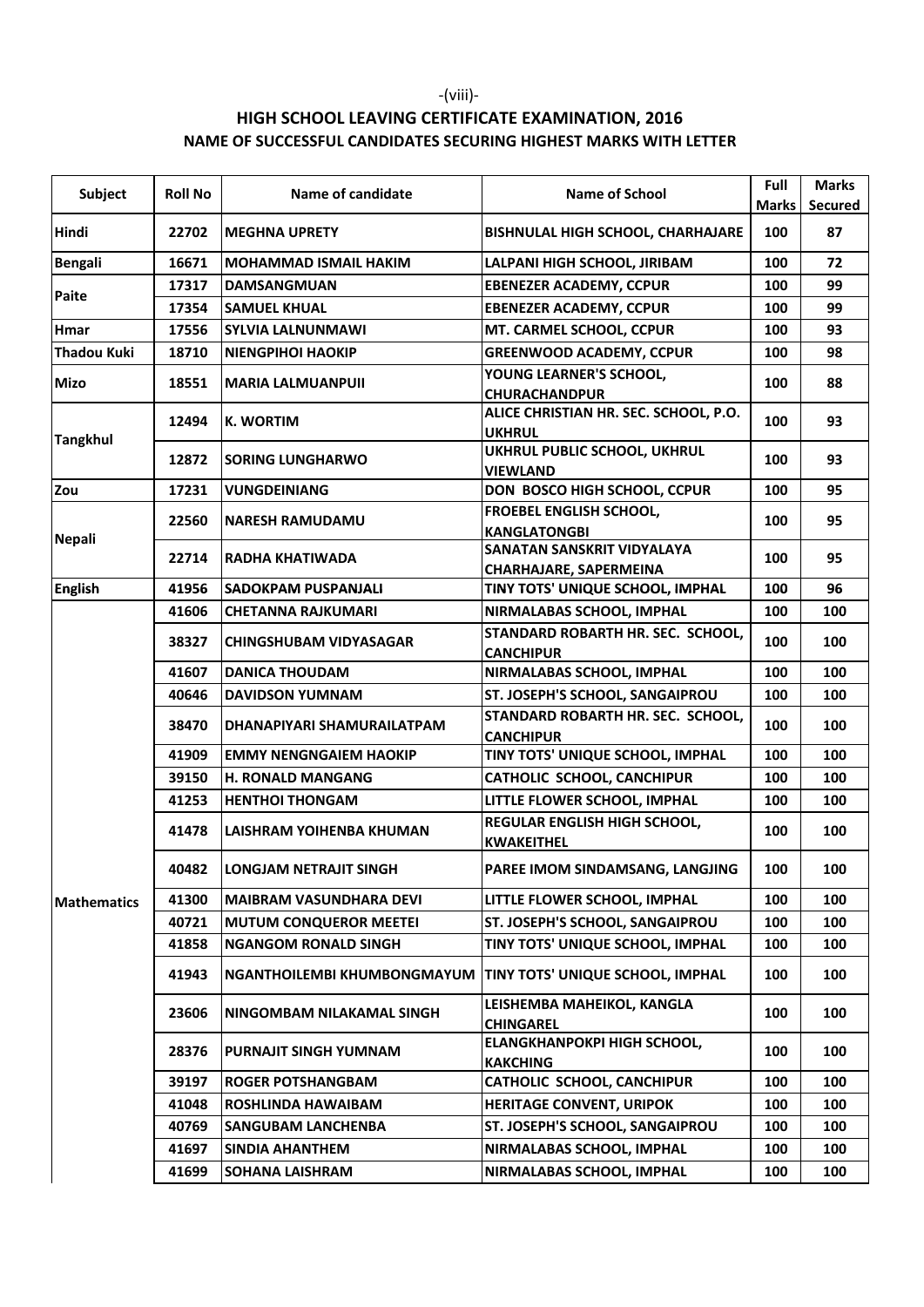## HIGH SCHOOL LEAVING CERTIFICATE EXAMINATION, 2016 NAME OF SUCCESSFUL CANDIDATES SECURING HIGHEST MARKS WITH LETTER

| <b>Subject</b>     | <b>Roll No</b> | Name of candidate                  | <b>Name of School</b>                                  | Full<br><b>Marks</b> | <b>Marks</b><br><b>Secured</b> |
|--------------------|----------------|------------------------------------|--------------------------------------------------------|----------------------|--------------------------------|
| Hindi              | 22702          | <b>MEGHNA UPRETY</b>               | <b>BISHNULAL HIGH SCHOOL, CHARHAJARE</b>               | 100                  | 87                             |
| <b>Bengali</b>     | 16671          | <b>MOHAMMAD ISMAIL HAKIM</b>       | LALPANI HIGH SCHOOL, JIRIBAM                           | 100                  | 72                             |
|                    | 17317          | <b>DAMSANGMUAN</b>                 | <b>EBENEZER ACADEMY, CCPUR</b>                         | 100                  | 99                             |
| Paite              | 17354          | <b>SAMUEL KHUAL</b>                | <b>EBENEZER ACADEMY, CCPUR</b>                         | 100                  | 99                             |
| <b>Hmar</b>        | 17556          | <b>SYLVIA LALNUNMAWI</b>           | MT. CARMEL SCHOOL, CCPUR                               | 100                  | 93                             |
| <b>Thadou Kuki</b> | 18710          | <b>NIENGPIHOI HAOKIP</b>           | <b>GREENWOOD ACADEMY, CCPUR</b>                        | 100                  | 98                             |
| <b>Mizo</b>        | 18551          | <b>MARIA LALMUANPUII</b>           | YOUNG LEARNER'S SCHOOL,<br><b>CHURACHANDPUR</b>        | 100                  | 88                             |
| <b>Tangkhul</b>    | 12494          | <b>K. WORTIM</b>                   | ALICE CHRISTIAN HR. SEC. SCHOOL, P.O.<br><b>UKHRUL</b> | 100                  | 93                             |
|                    | 12872          | <b>SORING LUNGHARWO</b>            | UKHRUL PUBLIC SCHOOL, UKHRUL<br><b>VIEWLAND</b>        | 100                  | 93                             |
| Zou                | 17231          | <b>VUNGDEINIANG</b>                | DON BOSCO HIGH SCHOOL, CCPUR                           | 100                  | 95                             |
| <b>Nepali</b>      | 22560          | <b>NARESH RAMUDAMU</b>             | FROEBEL ENGLISH SCHOOL,<br><b>KANGLATONGBI</b>         | 100                  | 95                             |
|                    | 22714          | RADHA KHATIWADA                    | SANATAN SANSKRIT VIDYALAYA<br>CHARHAJARE, SAPERMEINA   | 100                  | 95                             |
| <b>English</b>     | 41956          | <b>SADOKPAM PUSPANJALI</b>         | TINY TOTS' UNIQUE SCHOOL, IMPHAL                       | 100                  | 96                             |
|                    | 41606          | <b>CHETANNA RAJKUMARI</b>          | NIRMALABAS SCHOOL, IMPHAL                              | 100                  | 100                            |
| <b>Mathematics</b> | 38327          | <b>CHINGSHUBAM VIDYASAGAR</b>      | STANDARD ROBARTH HR. SEC. SCHOOL,<br><b>CANCHIPUR</b>  | 100                  | 100                            |
|                    | 41607          | <b>DANICA THOUDAM</b>              | NIRMALABAS SCHOOL, IMPHAL                              | 100                  | 100                            |
|                    | 40646          | <b>DAVIDSON YUMNAM</b>             | ST. JOSEPH'S SCHOOL, SANGAIPROU                        | 100                  | 100                            |
|                    | 38470          | DHANAPIYARI SHAMURAILATPAM         | STANDARD ROBARTH HR. SEC. SCHOOL,<br><b>CANCHIPUR</b>  | 100                  | 100                            |
|                    | 41909          | <b>EMMY NENGNGAIEM HAOKIP</b>      | TINY TOTS' UNIQUE SCHOOL, IMPHAL                       | 100                  | 100                            |
|                    | 39150          | <b>H. RONALD MANGANG</b>           | <b>CATHOLIC SCHOOL, CANCHIPUR</b>                      | 100                  | 100                            |
|                    | 41253          | <b>HENTHOI THONGAM</b>             | LITTLE FLOWER SCHOOL, IMPHAL                           | 100                  | 100                            |
|                    | 41478          | LAISHRAM YOIHENBA KHUMAN           | REGULAR ENGLISH HIGH SCHOOL,<br><b>KWAKEITHEL</b>      | 100                  | 100                            |
|                    | 40482          | <b>LONGJAM NETRAJIT SINGH</b>      | PAREE IMOM SINDAMSANG, LANGJING                        | 100                  | 100                            |
|                    | 41300          | <b>MAIBRAM VASUNDHARA DEVI</b>     | LITTLE FLOWER SCHOOL. IMPHAL                           | 100                  | 100                            |
|                    | 40721          | <b>MUTUM CONQUEROR MEETEI</b>      | ST. JOSEPH'S SCHOOL, SANGAIPROU                        | 100                  | 100                            |
|                    | 41858          | <b>NGANGOM RONALD SINGH</b>        | TINY TOTS' UNIQUE SCHOOL. IMPHAL                       | 100                  | 100                            |
|                    | 41943          | <b>NGANTHOILEMBI KHUMBONGMAYUM</b> | TINY TOTS' UNIQUE SCHOOL, IMPHAL                       | 100                  | 100                            |
|                    | 23606          | NINGOMBAM NILAKAMAL SINGH          | LEISHEMBA MAHEIKOL, KANGLA<br><b>CHINGAREL</b>         | 100                  | 100                            |
|                    | 28376          | PURNAJIT SINGH YUMNAM              | ELANGKHANPOKPI HIGH SCHOOL,<br><b>KAKCHING</b>         | 100                  | 100                            |
|                    | 39197          | <b>ROGER POTSHANGBAM</b>           | <b>CATHOLIC SCHOOL, CANCHIPUR</b>                      | 100                  | 100                            |
|                    | 41048          | <b>ROSHLINDA HAWAIBAM</b>          | <b>HERITAGE CONVENT, URIPOK</b>                        | 100                  | 100                            |
|                    | 40769          | <b>SANGUBAM LANCHENBA</b>          | ST. JOSEPH'S SCHOOL, SANGAIPROU                        | 100                  | 100                            |
|                    | 41697          | <b>SINDIA AHANTHEM</b>             | NIRMALABAS SCHOOL, IMPHAL                              | 100                  | 100                            |
|                    | 41699          | <b>SOHANA LAISHRAM</b>             | NIRMALABAS SCHOOL, IMPHAL                              | 100                  | 100                            |

-(viii)-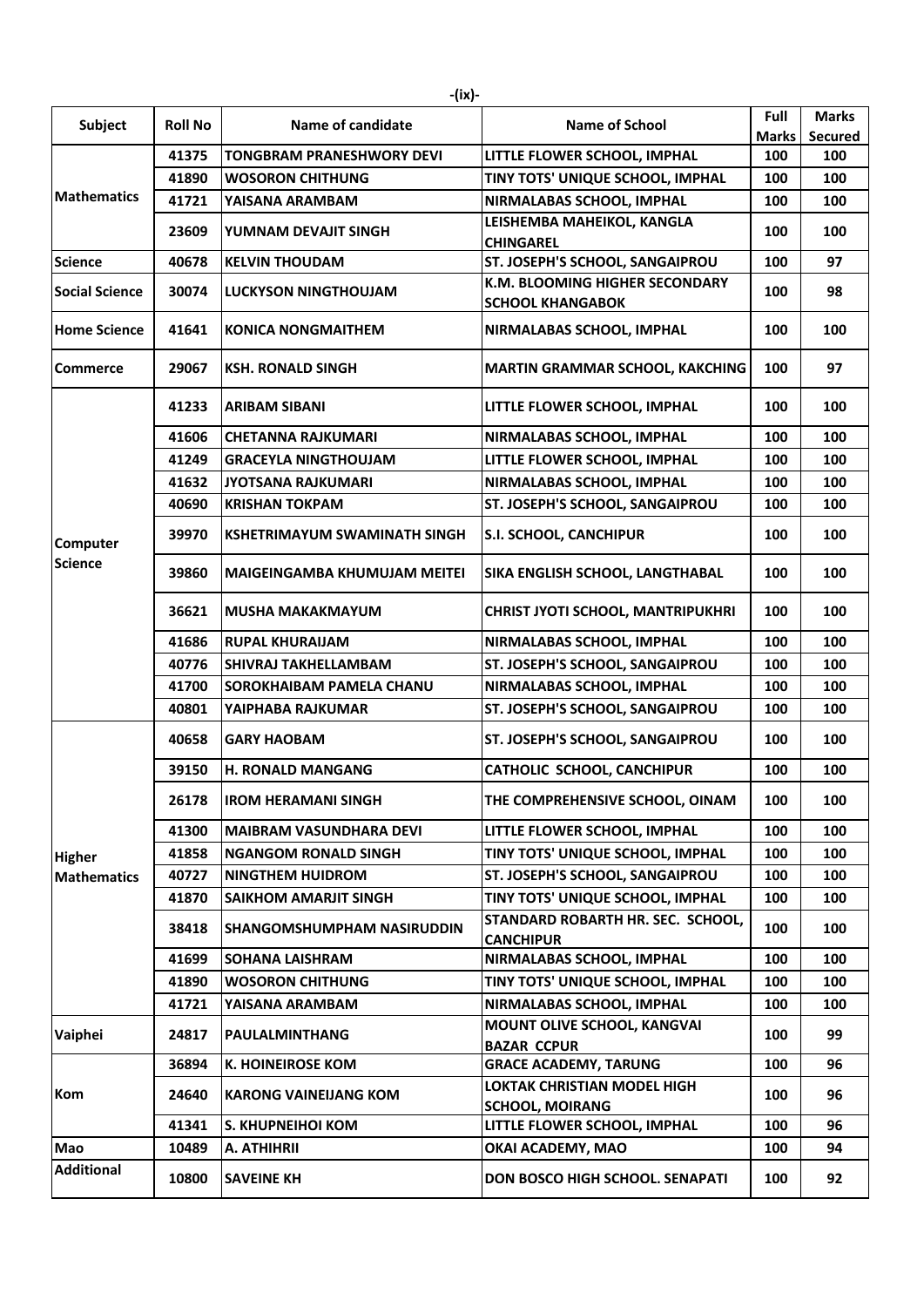|                                     |                | -(ix)-                              |                                                              |                      |                                |
|-------------------------------------|----------------|-------------------------------------|--------------------------------------------------------------|----------------------|--------------------------------|
| Subject                             | <b>Roll No</b> | Name of candidate                   | <b>Name of School</b>                                        | Full<br><b>Marks</b> | <b>Marks</b><br><b>Secured</b> |
| <b>Mathematics</b>                  | 41375          | TONGBRAM PRANESHWORY DEVI           | LITTLE FLOWER SCHOOL, IMPHAL                                 | 100                  | 100                            |
|                                     | 41890          | <b>WOSORON CHITHUNG</b>             | TINY TOTS' UNIQUE SCHOOL, IMPHAL                             | 100                  | 100                            |
|                                     | 41721          | YAISANA ARAMBAM                     | NIRMALABAS SCHOOL, IMPHAL                                    | 100                  | 100                            |
|                                     | 23609          | YUMNAM DEVAJIT SINGH                | LEISHEMBA MAHEIKOL, KANGLA<br><b>CHINGAREL</b>               | 100                  | 100                            |
| <b>Science</b>                      | 40678          | <b>KELVIN THOUDAM</b>               | ST. JOSEPH'S SCHOOL, SANGAIPROU                              | 100                  | 97                             |
| <b>Social Science</b>               | 30074          | <b>LUCKYSON NINGTHOUJAM</b>         | K.M. BLOOMING HIGHER SECONDARY<br><b>SCHOOL KHANGABOK</b>    | 100                  | 98                             |
| <b>Home Science</b>                 | 41641          | <b>KONICA NONGMAITHEM</b>           | NIRMALABAS SCHOOL, IMPHAL                                    | 100                  | 100                            |
| <b>Commerce</b>                     | 29067          | <b>KSH. RONALD SINGH</b>            | <b>MARTIN GRAMMAR SCHOOL, KAKCHING</b>                       | 100                  | 97                             |
|                                     | 41233          | <b>ARIBAM SIBANI</b>                | LITTLE FLOWER SCHOOL, IMPHAL                                 | 100                  | 100                            |
|                                     | 41606          | <b>CHETANNA RAJKUMARI</b>           | NIRMALABAS SCHOOL, IMPHAL                                    | 100                  | 100                            |
|                                     | 41249          | <b>GRACEYLA NINGTHOUJAM</b>         | LITTLE FLOWER SCHOOL, IMPHAL                                 | 100                  | 100                            |
| <b>Computer</b><br><b>Science</b>   | 41632          | <b>JYOTSANA RAJKUMARI</b>           | NIRMALABAS SCHOOL, IMPHAL                                    | 100                  | 100                            |
|                                     | 40690          | <b>KRISHAN TOKPAM</b>               | ST. JOSEPH'S SCHOOL, SANGAIPROU                              | 100                  | 100                            |
|                                     | 39970          | KSHETRIMAYUM SWAMINATH SINGH        | <b>S.I. SCHOOL, CANCHIPUR</b>                                | 100                  | 100                            |
|                                     | 39860          | <b>MAIGEINGAMBA KHUMUJAM MEITEI</b> | SIKA ENGLISH SCHOOL, LANGTHABAL                              | 100                  | 100                            |
|                                     | 36621          | <b>MUSHA MAKAKMAYUM</b>             | <b>CHRIST JYOTI SCHOOL, MANTRIPUKHRI</b>                     | 100                  | 100                            |
|                                     | 41686          | <b>RUPAL KHURAIJAM</b>              | NIRMALABAS SCHOOL, IMPHAL                                    | 100                  | 100                            |
|                                     | 40776          | <b>SHIVRAJ TAKHELLAMBAM</b>         | ST. JOSEPH'S SCHOOL, SANGAIPROU                              | 100                  | 100                            |
|                                     | 41700          | <b>SOROKHAIBAM PAMELA CHANU</b>     | NIRMALABAS SCHOOL, IMPHAL                                    | 100                  | 100                            |
|                                     | 40801          | YAIPHABA RAJKUMAR                   | ST. JOSEPH'S SCHOOL, SANGAIPROU                              | 100                  | 100                            |
|                                     | 40658          | <b>GARY HAOBAM</b>                  | <b>ST. JOSEPH'S SCHOOL, SANGAIPROU</b>                       | 100                  | 100                            |
|                                     | 39150          | <b>H. RONALD MANGANG</b>            | <b>CATHOLIC SCHOOL, CANCHIPUR</b>                            | 100                  | 100                            |
|                                     | 26178          | <b>IROM HERAMANI SINGH</b>          | THE COMPREHENSIVE SCHOOL, OINAM                              | 100                  | 100                            |
| <b>Higher</b><br><b>Mathematics</b> | 41300          | <b>MAIBRAM VASUNDHARA DEVI</b>      | LITTLE FLOWER SCHOOL, IMPHAL                                 | 100                  | 100                            |
|                                     | 41858          | <b>NGANGOM RONALD SINGH</b>         | TINY TOTS' UNIQUE SCHOOL, IMPHAL                             | 100                  | 100                            |
|                                     | 40727          | <b>NINGTHEM HUIDROM</b>             | ST. JOSEPH'S SCHOOL, SANGAIPROU                              | 100                  | 100                            |
|                                     | 41870          | <b>SAIKHOM AMARJIT SINGH</b>        | TINY TOTS' UNIQUE SCHOOL, IMPHAL                             | 100                  | 100                            |
|                                     | 38418          | <b>SHANGOMSHUMPHAM NASIRUDDIN</b>   | STANDARD ROBARTH HR. SEC. SCHOOL,<br><b>CANCHIPUR</b>        | 100                  | 100                            |
|                                     | 41699          | <b>SOHANA LAISHRAM</b>              | NIRMALABAS SCHOOL, IMPHAL                                    | 100                  | 100                            |
|                                     | 41890          | <b>WOSORON CHITHUNG</b>             | TINY TOTS' UNIQUE SCHOOL, IMPHAL                             | 100                  | 100                            |
|                                     | 41721          | YAISANA ARAMBAM                     | NIRMALABAS SCHOOL, IMPHAL                                    | 100                  | 100                            |
| Vaiphei                             | 24817          | PAULALMINTHANG                      | <b>MOUNT OLIVE SCHOOL, KANGVAI</b><br><b>BAZAR CCPUR</b>     | 100                  | 99                             |
| <b>Kom</b>                          | 36894          | <b>K. HOINEIROSE KOM</b>            | <b>GRACE ACADEMY, TARUNG</b>                                 | 100                  | 96                             |
|                                     | 24640          | <b>KARONG VAINEIJANG KOM</b>        | <b>LOKTAK CHRISTIAN MODEL HIGH</b><br><b>SCHOOL, MOIRANG</b> | 100                  | 96                             |
|                                     | 41341          | S. KHUPNEIHOI KOM                   | LITTLE FLOWER SCHOOL, IMPHAL                                 | 100                  | 96                             |
| Mao                                 | 10489          | A. ATHIHRII                         | OKAI ACADEMY, MAO                                            | 100                  | 94                             |
| <b>Additional</b>                   | 10800          | <b>SAVEINE KH</b>                   | DON BOSCO HIGH SCHOOL. SENAPATI                              | 100                  | 92                             |